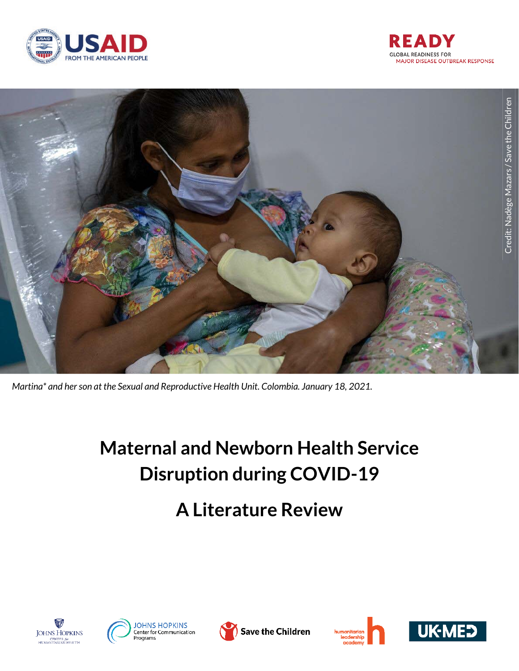





*Martina\* and her son at the Sexual and Reproductive Health Unit. Colombia. January 18, 2021.*

# **Maternal and Newborn Health Service Disruption during COVID-19**

# **A Literature Review**











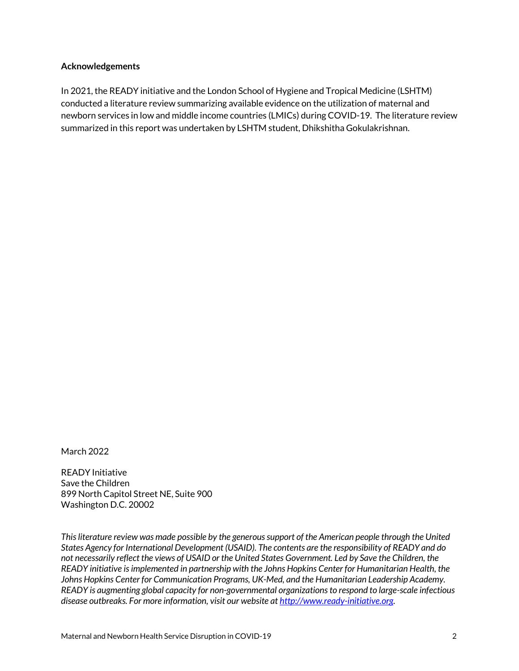#### **Acknowledgements**

In 2021, the READY initiative and the London School of Hygiene and Tropical Medicine (LSHTM) conducted a literature review summarizing available evidence on the utilization of maternal and newborn services in low and middle income countries (LMICs) during COVID-19. The literature review summarized in this report was undertaken by LSHTM student, Dhikshitha Gokulakrishnan.

March 2022

READY Initiative Save the Children 899 North Capitol Street NE, Suite 900 Washington D.C. 20002

*This literature review was made possible by the generous support of the American people through the United States Agency for International Development (USAID). The contents are the responsibility of READY and do not necessarily reflect the views of USAID or the United States Government. Led by Save the Children, the READY initiative is implemented in partnership with the Johns Hopkins Center for Humanitarian Health, the Johns Hopkins Center for Communication Programs, UK-Med, and the Humanitarian Leadership Academy. READY is augmenting global capacity for non-governmental organizations to respond to large-scale infectious disease outbreaks. For more information, visit our website at [http://www.ready-initiative.org.](http://www.ready-initiative.org/)*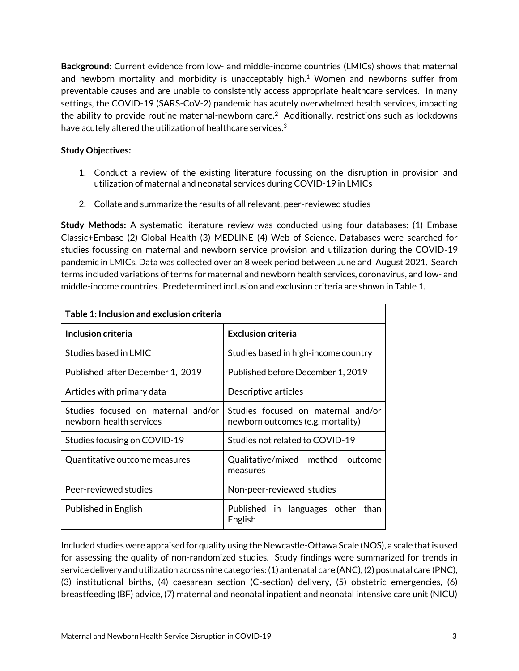**Background:** Current evidence from low- and middle-income countries (LMICs) shows that maternal and newborn mortality and morbidity is unacceptably high. <sup>1</sup> Women and newborns suffer from preventable causes and are unable to consistently access appropriate healthcare services. In many settings, the COVID-19 (SARS-CoV-2) pandemic has acutely overwhelmed health services, impacting the ability to provide routine maternal-newborn care. $^2$  Additionally, restrictions such as lockdowns have acutely altered the utilization of healthcare services.<sup>3</sup>

## **Study Objectives:**

- 1. Conduct a review of the existing literature focussing on the disruption in provision and utilization of maternal and neonatal services during COVID-19 in LMICs
- 2. Collate and summarize the results of all relevant, peer-reviewed studies

**Study Methods:** A systematic literature review was conducted using four databases: (1) Embase Classic+Embase (2) Global Health (3) MEDLINE (4) Web of Science. Databases were searched for studies focussing on maternal and newborn service provision and utilization during the COVID-19 pandemic in LMICs. Data was collected over an 8 week period between June and August 2021. Search terms included variations of terms for maternal and newborn health services, coronavirus, and low- and middle-income countries. Predetermined inclusion and exclusion criteria are shown in Table 1.

| Table 1: Inclusion and exclusion criteria                     |                                                                         |  |  |  |
|---------------------------------------------------------------|-------------------------------------------------------------------------|--|--|--|
| Inclusion criteria                                            | <b>Exclusion criteria</b>                                               |  |  |  |
| Studies based in LMIC                                         | Studies based in high-income country                                    |  |  |  |
| Published after December 1, 2019                              | Published before December 1, 2019                                       |  |  |  |
| Articles with primary data                                    | Descriptive articles                                                    |  |  |  |
| Studies focused on maternal and/or<br>newborn health services | Studies focused on maternal and/or<br>newborn outcomes (e.g. mortality) |  |  |  |
| Studies focusing on COVID-19                                  | Studies not related to COVID-19                                         |  |  |  |
| Quantitative outcome measures                                 | Qualitative/mixed method outcome<br>measures                            |  |  |  |
| Peer-reviewed studies                                         | Non-peer-reviewed studies                                               |  |  |  |
| Published in English                                          | Published in languages other than<br>English                            |  |  |  |

Included studies were appraised for quality using the Newcastle-Ottawa Scale (NOS), a scale that is used for assessing the quality of non-randomized studies. Study findings were summarized for trends in service delivery and utilization across nine categories: (1) antenatal care (ANC), (2) postnatal care (PNC), (3) institutional births, (4) caesarean section (C-section) delivery, (5) obstetric emergencies, (6) breastfeeding (BF) advice, (7) maternal and neonatal inpatient and neonatal intensive care unit (NICU)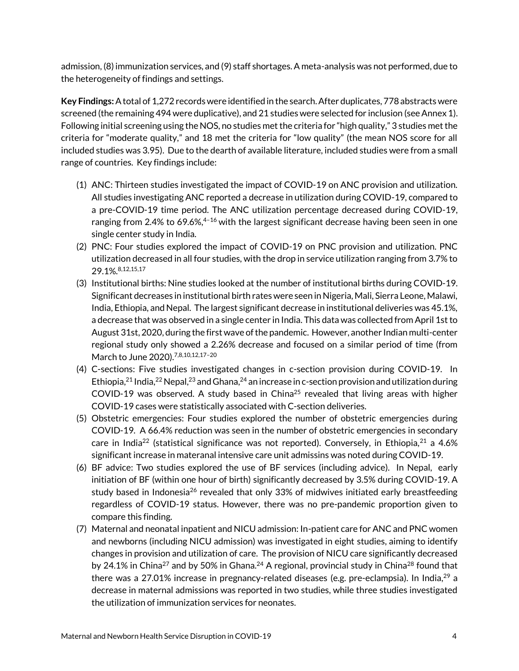admission, (8) immunization services, and (9) staff shortages. A meta-analysis was not performed, due to the heterogeneity of findings and settings.

**Key Findings:** A total of 1,272 records were identified in the search. After duplicates, 778 abstracts were screened (the remaining 494 were duplicative), and 21 studies were selected for inclusion (see Annex 1). Following initial screening using the NOS, no studies met the criteria for "high quality," 3 studies met the criteria for "moderate quality," and 18 met the criteria for "low quality" (the mean NOS score for all included studies was 3.95). Due to the dearth of available literature, included studies were from a small range of countries. Key findings include:

- (1) ANC: Thirteen studies investigated the impact of COVID-19 on ANC provision and utilization. All studies investigating ANC reported a decrease in utilization during COVID-19, compared to a pre-COVID-19 time period. The ANC utilization percentage decreased during COVID-19, ranging from 2.4% to 69.6%, $4-16$  with the largest significant decrease having been seen in one single center study in India.
- (2) PNC: Four studies explored the impact of COVID-19 on PNC provision and utilization. PNC utilization decreased in all four studies, with the drop in service utilization ranging from 3.7% to 29.1%.8,12,15,17
- (3) Institutional births: Nine studies looked at the number of institutional births during COVID-19. Significant decreases in institutional birth rates were seen in Nigeria, Mali, Sierra Leone, Malawi, India, Ethiopia, and Nepal. The largest significant decrease in institutional deliveries was 45.1%, a decrease that was observed in a single center in India. This data was collected from April 1st to August 31st, 2020, during the first wave of the pandemic. However, another Indian multi-center regional study only showed a 2.26% decrease and focused on a similar period of time (from March to June 2020).7,8,10,12,17–<sup>20</sup>
- (4) C-sections: Five studies investigated changes in c-section provision during COVID-19. In Ethiopia, <sup>21</sup> India, <sup>22</sup> Nepal, <sup>23</sup> and Ghana, <sup>24</sup> an increase in c-section provision and utilization during COVID-19 was observed. A study based in China<sup>25</sup> revealed that living areas with higher COVID-19 cases were statistically associated with C-section deliveries.
- (5) Obstetric emergencies: Four studies explored the number of obstetric emergencies during COVID-19. A 66.4% reduction was seen in the number of obstetric emergencies in secondary care in India<sup>22</sup> (statistical significance was not reported). Conversely, in Ethiopia,  $21$  a 4.6% significant increase in materanal intensive care unit admissins was noted during COVID-19.
- (6) BF advice: Two studies explored the use of BF services (including advice). In Nepal, early initiation of BF (within one hour of birth) significantly decreased by 3.5% during COVID-19. A study based in Indonesia<sup>26</sup> revealed that only 33% of midwives initiated early breastfeeding regardless of COVID-19 status. However, there was no pre-pandemic proportion given to compare this finding.
- (7) Maternal and neonatal inpatient and NICU admission: In-patient care for ANC and PNC women and newborns (including NICU admission) was investigated in eight studies, aiming to identify changes in provision and utilization of care. The provision of NICU care significantly decreased by 24.1% in China<sup>27</sup> and by 50% in Ghana.<sup>24</sup> A regional, provincial study in China<sup>28</sup> found that there was a 27.01% increase in pregnancy-related diseases (e.g. pre-eclampsia). In India, $^{29}$  a decrease in maternal admissions was reported in two studies, while three studies investigated the utilization of immunization services for neonates.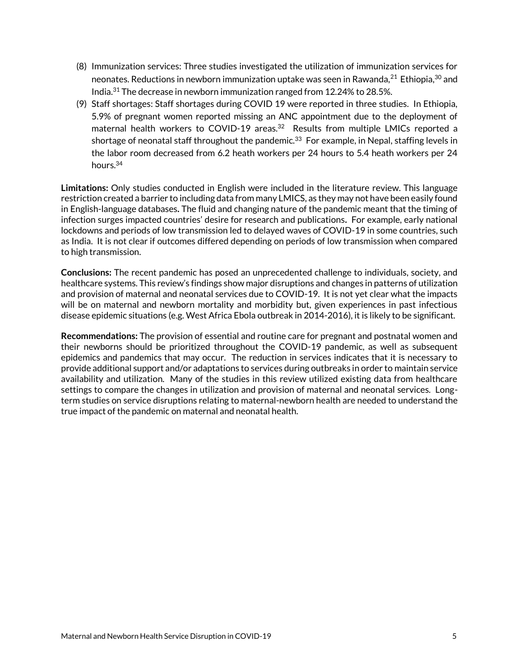- (8) Immunization services: Three studies investigated the utilization of immunization services for neonates. Reductions in newborn immunization uptake was seen in Rawanda, $^{21}$  Ethiopia, $^{30}$  and India.<sup>31</sup> The decrease in newborn immunization ranged from 12.24% to 28.5%.
- (9) Staff shortages: Staff shortages during COVID 19 were reported in three studies. In Ethiopia, 5.9% of pregnant women reported missing an ANC appointment due to the deployment of maternal health workers to COVID-19 areas.<sup>32</sup> Results from multiple LMICs reported a shortage of neonatal staff throughout the pandemic. $33\,$  For example, in Nepal, staffing levels in the labor room decreased from 6.2 heath workers per 24 hours to 5.4 heath workers per 24 hours.<sup>34</sup>

**Limitations:** Only studies conducted in English were included in the literature review. This language restriction created a barrier to including data from many LMICS, as they may not have been easily found in English-language databases**.** The fluid and changing nature of the pandemic meant that the timing of infection surges impacted countries' desire for research and publications**.** For example, early national lockdowns and periods of low transmission led to delayed waves of COVID-19 in some countries, such as India. It is not clear if outcomes differed depending on periods of low transmission when compared to high transmission.

**Conclusions:** The recent pandemic has posed an unprecedented challenge to individuals, society, and healthcare systems. This review's findings show major disruptions and changes in patterns of utilization and provision of maternal and neonatal services due to COVID-19. It is not yet clear what the impacts will be on maternal and newborn mortality and morbidity but, given experiences in past infectious disease epidemic situations (e.g. West Africa Ebola outbreak in 2014-2016), it is likely to be significant.

**Recommendations:** The provision of essential and routine care for pregnant and postnatal women and their newborns should be prioritized throughout the COVID-19 pandemic, as well as subsequent epidemics and pandemics that may occur. The reduction in services indicates that it is necessary to provide additional support and/or adaptations to services during outbreaks in order to maintain service availability and utilization. Many of the studies in this review utilized existing data from healthcare settings to compare the changes in utilization and provision of maternal and neonatal services. Longterm studies on service disruptions relating to maternal-newborn health are needed to understand the true impact of the pandemic on maternal and neonatal health.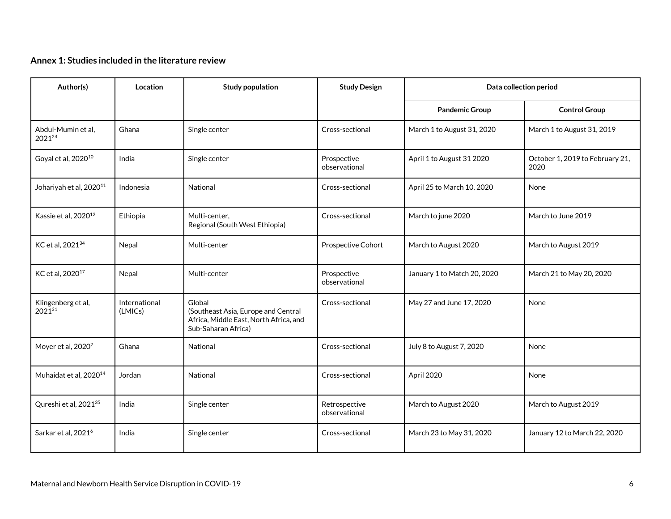## **Annex 1: Studies included in the literature review**

| Author(s)                           | Location                 | <b>Study population</b>                                                                                        | <b>Study Design</b>            | Data collection period      |                                         |
|-------------------------------------|--------------------------|----------------------------------------------------------------------------------------------------------------|--------------------------------|-----------------------------|-----------------------------------------|
|                                     |                          |                                                                                                                |                                | <b>Pandemic Group</b>       | <b>Control Group</b>                    |
| Abdul-Mumin et al.<br>202124        | Ghana                    | Single center                                                                                                  | Cross-sectional                | March 1 to August 31, 2020  | March 1 to August 31, 2019              |
| Goyal et al, 2020 <sup>10</sup>     | India                    | Single center                                                                                                  | Prospective<br>observational   | April 1 to August 31 2020   | October 1, 2019 to February 21,<br>2020 |
| Johariyah et al, 2020 <sup>11</sup> | Indonesia                | National                                                                                                       | Cross-sectional                | April 25 to March 10, 2020  | None                                    |
| Kassie et al, 2020 <sup>12</sup>    | Ethiopia                 | Multi-center,<br>Regional (South West Ethiopia)                                                                | Cross-sectional                | March to june 2020          | March to June 2019                      |
| KC et al, 2021 <sup>34</sup>        | Nepal                    | Multi-center                                                                                                   | Prospective Cohort             | March to August 2020        | March to August 2019                    |
| KC et al, 2020 <sup>17</sup>        | Nepal                    | Multi-center                                                                                                   | Prospective<br>observational   | January 1 to Match 20, 2020 | March 21 to May 20, 2020                |
| Klingenberg et al,<br>202131        | International<br>(LMICs) | Global<br>(Southeast Asia, Europe and Central<br>Africa, Middle East, North Africa, and<br>Sub-Saharan Africa) | Cross-sectional                | May 27 and June 17, 2020    | None                                    |
| Moyer et al, 20207                  | Ghana                    | National                                                                                                       | Cross-sectional                | July 8 to August 7, 2020    | None                                    |
| Muhaidat et al, 2020 <sup>14</sup>  | Jordan                   | National                                                                                                       | Cross-sectional                | April 2020                  | None                                    |
| Qureshi et al, 2021 <sup>35</sup>   | India                    | Single center                                                                                                  | Retrospective<br>observational | March to August 2020        | March to August 2019                    |
| Sarkar et al, 2021 <sup>6</sup>     | India                    | Single center                                                                                                  | Cross-sectional                | March 23 to May 31, 2020    | January 12 to March 22, 2020            |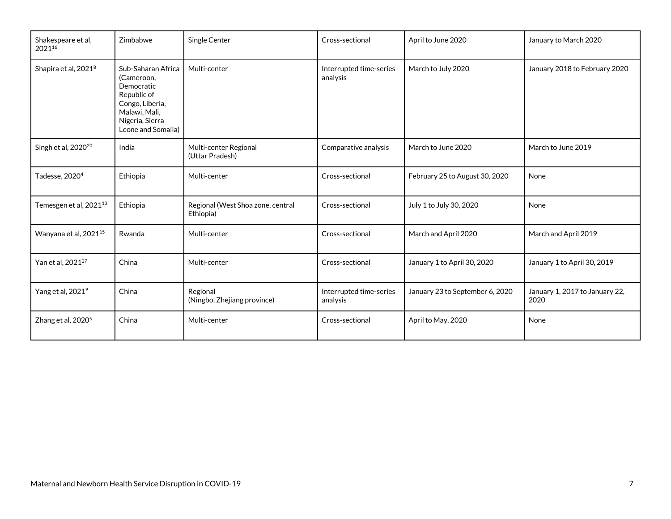| Shakespeare et al,<br>202116       | Zimbabwe                                                                                                                                   | Single Center                                  | Cross-sectional                     | April to June 2020              | January to March 2020                  |
|------------------------------------|--------------------------------------------------------------------------------------------------------------------------------------------|------------------------------------------------|-------------------------------------|---------------------------------|----------------------------------------|
| Shapira et al, 2021 <sup>8</sup>   | Sub-Saharan Africa<br>(Cameroon,<br>Democratic<br>Republic of<br>Congo, Liberia,<br>Malawi, Mali,<br>Nigeria, Sierra<br>Leone and Somalia) | Multi-center                                   | Interrupted time-series<br>analysis | March to July 2020              | January 2018 to February 2020          |
| Singh et al, 2020 <sup>20</sup>    | India                                                                                                                                      | Multi-center Regional<br>(Uttar Pradesh)       | Comparative analysis                | March to June 2020              | March to June 2019                     |
| Tadesse, 2020 <sup>4</sup>         | Ethiopia                                                                                                                                   | Multi-center                                   | Cross-sectional                     | February 25 to August 30, 2020  | None                                   |
| Temesgen et al, 2021 <sup>13</sup> | Ethiopia                                                                                                                                   | Regional (West Shoa zone, central<br>Ethiopia) | Cross-sectional                     | July 1 to July 30, 2020         | None                                   |
| Wanyana et al, 2021 <sup>15</sup>  | Rwanda                                                                                                                                     | Multi-center                                   | Cross-sectional                     | March and April 2020            | March and April 2019                   |
| Yan et al, 2021 <sup>27</sup>      | China                                                                                                                                      | Multi-center                                   | Cross-sectional                     | January 1 to April 30, 2020     | January 1 to April 30, 2019            |
| Yang et al, 2021 <sup>9</sup>      | China                                                                                                                                      | Regional<br>(Ningbo, Zhejiang province)        | Interrupted time-series<br>analysis | January 23 to September 6, 2020 | January 1, 2017 to January 22,<br>2020 |
| Zhang et al, $20205$               | China                                                                                                                                      | Multi-center                                   | Cross-sectional                     | April to May, 2020              | None                                   |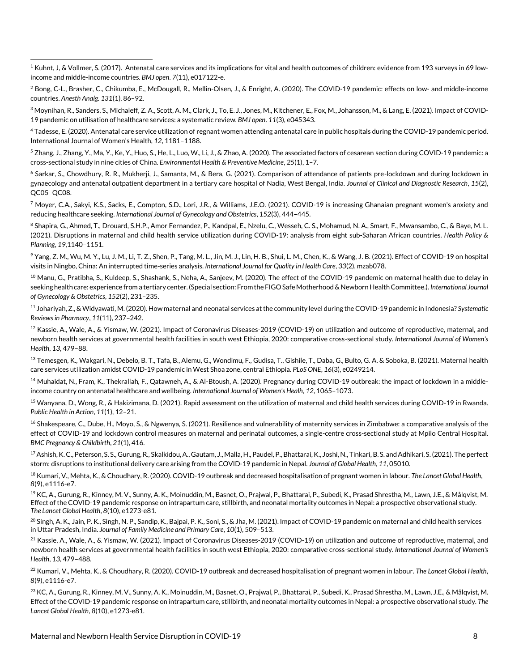<sup>1</sup> Kuhnt, J, & Vollmer, S. (2017). Antenatal care services and its implications for vital and health outcomes of children: evidence from 193 surveys in 69 lowincome and middle-income countries. *BMJ open*. *7*(11), e017122-e.

<sup>2</sup> Bong, C-L., Brasher, C., Chikumba, E., McDougall, R., Mellin-Olsen, J., & Enright, A. (2020). The COVID-19 pandemic: effects on low- and middle-income countries. *Anesth Analg. 131*(1)*,* 86–92.

<sup>3</sup> Moynihan, R., Sanders, S., Michaleff, Z. A., Scott, A. M., Clark, J., To, E. J., Jones, M., Kitchener, E., Fox, M., Johansson, M., & Lang, E. (2021). Impact of COVID-19 pandemic on utilisation of healthcare services: a systematic review. *BMJ open*. *11*(3)*,* e045343.

<sup>4</sup> Tadesse, E. (2020). Antenatal care service utilization of regnant women attending antenatal care in public hospitals during the COVID-19 pandemic period. International Journal of Women's Health, *12*, 1181–1188.

<sup>5</sup> Zhang, J., Zhang, Y., Ma, Y., Ke, Y., Huo, S., He, L., Luo, W., Li, J., & Zhao, A. (2020). The associated factors of cesarean section during COVID-19 pandemic: a cross-sectional study in nine cities of China. *Environmental Health & Preventive Medicine*, *25*(1), 1–7.

 $6$  Sarkar, S., Chowdhury, R. R., Mukherji, J., Samanta, M., & Bera, G. (2021). Comparison of attendance of patients pre-lockdown and during lockdown in gynaecology and antenatal outpatient department in a tertiary care hospital of Nadia, West Bengal, India. *Journal of Clinical and Diagnostic Research*, *15*(2), QC05–QC08.

<sup>7</sup> Moyer, C.A., Sakyi, K.S., Sacks, E., Compton, S.D., Lori, J.R., & Williams, J.E.O. (2021). COVID-19 is increasing Ghanaian pregnant women's anxiety and reducing healthcare seeking. *International Journal of Gynecology and Obstetrics*, *152*(3), 444–445.

<sup>8</sup> Shapira, G., Ahmed, T., Drouard, S.H.P., Amor Fernandez, P., Kandpal, E., Nzelu, C., Wesseh, C. S., Mohamud, N. A., Smart, F., Mwansambo, C., & Baye, M. L. (2021). Disruptions in maternal and child health service utilization during COVID-19: analysis from eight sub-Saharan African countries. *Health Policy & Planning*, *19*,1140–1151.

<sup>9</sup> Yang, Z. M., Wu, M. Y., Lu, J. M., Li, T. Z., Shen, P., Tang, M. L., Jin, M. J., Lin, H. B., Shui, L. M., Chen, K., & Wang, J. B. (2021). Effect of COVID-19 on hospital visits in Ningbo, China: An interrupted time-series analysis. *International Journal for Quality in Health Care*, *33*(2), mzab078.

<sup>10</sup> Manu, G., Pratibha, S., Kuldeep, S., Shashank, S., Neha, A., Sanjeev, M. (2020). The effect of the COVID-19 pandemic on maternal health due to delay in seeking health care: experience from a tertiary center. (Special section: From the FIGO Safe Motherhood & Newborn Health Committee.). *International Journal of Gynecology & Obstetrics*, *152*(2), 231–235.

<sup>11</sup> Johariyah, Z., & Widyawati, M. (2020). How maternal and neonatal services at the community level during the COVID-19 pandemic in Indonesia? *Systematic Reviews in Pharmacy*, *11*(11), 237–242.

 $^{12}$  Kassie, A., Wale, A., & Yismaw, W. (2021). Impact of Coronavirus Diseases-2019 (COVID-19) on utilization and outcome of reproductive, maternal, and newborn health services at governmental health facilities in south west Ethiopia, 2020: comparative cross-sectional study. *International Journal of Women's Health*, *13*, 479–88.

13 Temesgen, K., Wakgari, N., Debelo, B. T., Tafa, B., Alemu, G., Wondimu, F., Gudisa, T., Gishile, T., Daba, G., Bulto, G. A. & Soboka, B. (2021). Maternal health care services utilization amidst COVID-19 pandemic in West Shoa zone, central Ethiopia. *PLoS ONE*, *16*(3), e0249214.

<sup>14</sup> Muhaidat, N., Fram, K., Thekrallah, F., Qatawneh, A., & Al-Btoush, A. (2020). Pregnancy during COVID-19 outbreak: the impact of lockdown in a middleincome country on antenatal healthcare and wellbeing. *International Journal of Women's Healh, 12*, 1065–1073.

<sup>15</sup> Wanyana, D., Wong, R., & Hakizimana, D. (2021). Rapid assessment on the utilization of maternal and child health services during COVID-19 in Rwanda. *Public Health in Action*, *11*(1), 12–21.

 $16$  Shakespeare, C., Dube, H., Moyo, S., & Ngwenya, S. (2021). Resilience and vulnerability of maternity services in Zimbabwe: a comparative analysis of the effect of COVID-19 and lockdown control measures on maternal and perinatal outcomes, a single-centre cross-sectional study at Mpilo Central Hospital. *BMC Pregnancy & Childbirth*, *21*(1), 416.

<sup>17</sup>Ashish, K. C., Peterson, S. S., Gurung, R., Skalkidou, A., Gautam, J., Malla, H., Paudel, P., Bhattarai, K., Joshi, N., Tinkari, B. S. and Adhikari, S. (2021). The perfect storm: disruptions to institutional delivery care arising from the COVID-19 pandemic in Nepal. *Journal of Global Health*, *11*, 05010.

<sup>18</sup> Kumari, V., Mehta, K., & Choudhary, R. (2020). COVID-19 outbreak and decreased hospitalisation of pregnant women in labour. *The Lancet Global Health*, *8*(9), e1116-e7.

<sup>19</sup> KC, A., Gurung, R., Kinney, M. V., Sunny, A. K., Moinuddin, M., Basnet, O., Prajwal, P., Bhattarai, P., Subedi, K., Prasad Shrestha, M., Lawn, J.E., & Målqvist, M. Effect of the COVID-19 pandemic response on intrapartum care, stillbirth, and neonatal mortality outcomes in Nepal: a prospective observational study. *The Lancet Global Health*, *8*(10), e1273-e81.

 $^{20}$  Singh, A. K., Jain, P. K., Singh, N. P., Sandip, K., Bajpai, P. K., Soni, S., & Jha, M. (2021). Impact of COVID-19 pandemic on maternal and child health services in Uttar Pradesh, India. *Journal of Family Medicine and Primary Care*, *10*(1), 509–513.

 $^{21}$  Kassie, A., Wale, A., & Yismaw, W. (2021). Impact of Coronavirus Diseases-2019 (COVID-19) on utilization and outcome of reproductive, maternal, and newborn health services at governmental health facilities in south west Ethiopia, 2020: comparative cross-sectional study. *International Journal of Women's Health*, *13*, 479–488.

<sup>22</sup> Kumari, V., Mehta, K., & Choudhary, R. (2020). COVID-19 outbreak and decreased hospitalisation of pregnant women in labour. *The Lancet Global Health*, *8*(9), e1116-e7.

<sup>23</sup> KC, A., Gurung, R., Kinney, M. V., Sunny, A. K., Moinuddin, M., Basnet, O., Prajwal, P., Bhattarai, P., Subedi, K., Prasad Shrestha, M., Lawn, J.E., & Målqvist, M. Effect of the COVID-19 pandemic response on intrapartum care, stillbirth, and neonatal mortality outcomes in Nepal: a prospective observational study. *The Lancet Global Health*, *8*(10), e1273-e81.